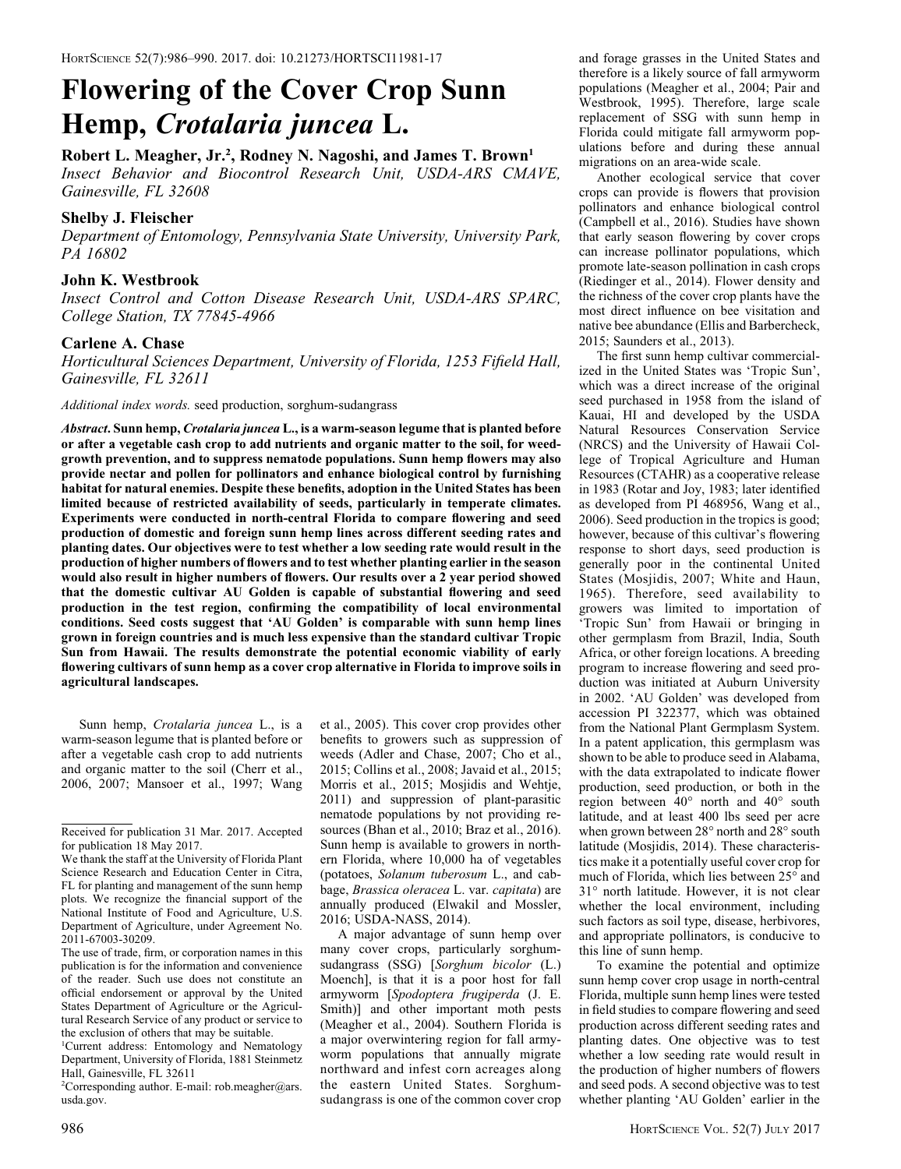# Flowering of the Cover Crop Sunn Hemp, Crotalaria juncea L.

# Robert L. Meagher, Jr.<sup>2</sup>, Rodney N. Nagoshi, and James T. Brown<sup>1</sup>

Insect Behavior and Biocontrol Research Unit, USDA-ARS CMAVE, Gainesville, FL 32608

## Shelby J. Fleischer

Department of Entomology, Pennsylvania State University, University Park, PA 16802

## John K. Westbrook

Insect Control and Cotton Disease Research Unit, USDA-ARS SPARC, College Station, TX 77845-4966

## Carlene A. Chase

Horticultural Sciences Department, University of Florida, 1253 Fifield Hall, Gainesville, FL 32611

Additional index words. seed production, sorghum-sudangrass

Abstract. Sunn hemp, Crotalaria juncea L., is a warm-season legume that is planted before or after a vegetable cash crop to add nutrients and organic matter to the soil, for weedgrowth prevention, and to suppress nematode populations. Sunn hemp flowers may also provide nectar and pollen for pollinators and enhance biological control by furnishing habitat for natural enemies. Despite these benefits, adoption in the United States has been limited because of restricted availability of seeds, particularly in temperate climates. Experiments were conducted in north-central Florida to compare flowering and seed production of domestic and foreign sunn hemp lines across different seeding rates and planting dates. Our objectives were to test whether a low seeding rate would result in the production of higher numbers of flowers and to test whether planting earlier in the season would also result in higher numbers of flowers. Our results over a 2 year period showed that the domestic cultivar AU Golden is capable of substantial flowering and seed production in the test region, confirming the compatibility of local environmental conditions. Seed costs suggest that 'AU Golden' is comparable with sunn hemp lines grown in foreign countries and is much less expensive than the standard cultivar Tropic Sun from Hawaii. The results demonstrate the potential economic viability of early flowering cultivars of sunn hemp as a cover crop alternative in Florida to improve soils in agricultural landscapes.

Sunn hemp, Crotalaria juncea L., is a warm-season legume that is planted before or after a vegetable cash crop to add nutrients and organic matter to the soil (Cherr et al., 2006, 2007; Mansoer et al., 1997; Wang et al., 2005). This cover crop provides other benefits to growers such as suppression of weeds (Adler and Chase, 2007; Cho et al., 2015; Collins et al., 2008; Javaid et al., 2015; Morris et al., 2015; Mosjidis and Wehtje, 2011) and suppression of plant-parasitic nematode populations by not providing resources (Bhan et al., 2010; Braz et al., 2016). Sunn hemp is available to growers in northern Florida, where 10,000 ha of vegetables (potatoes, Solanum tuberosum L., and cabbage, Brassica oleracea L. var. capitata) are annually produced (Elwakil and Mossler, 2016; USDA-NASS, 2014).

A major advantage of sunn hemp over many cover crops, particularly sorghumsudangrass (SSG) [Sorghum bicolor (L.) Moench], is that it is a poor host for fall armyworm [Spodoptera frugiperda (J. E. Smith)] and other important moth pests (Meagher et al., 2004). Southern Florida is a major overwintering region for fall armyworm populations that annually migrate northward and infest corn acreages along the eastern United States. Sorghumsudangrass is one of the common cover crop and forage grasses in the United States and therefore is a likely source of fall armyworm populations (Meagher et al., 2004; Pair and Westbrook, 1995). Therefore, large scale replacement of SSG with sunn hemp in Florida could mitigate fall armyworm populations before and during these annual migrations on an area-wide scale.

Another ecological service that cover crops can provide is flowers that provision pollinators and enhance biological control (Campbell et al., 2016). Studies have shown that early season flowering by cover crops can increase pollinator populations, which promote late-season pollination in cash crops (Riedinger et al., 2014). Flower density and the richness of the cover crop plants have the most direct influence on bee visitation and native bee abundance (Ellis and Barbercheck, 2015; Saunders et al., 2013).

The first sunn hemp cultivar commercialized in the United States was 'Tropic Sun', which was a direct increase of the original seed purchased in 1958 from the island of Kauai, HI and developed by the USDA Natural Resources Conservation Service (NRCS) and the University of Hawaii College of Tropical Agriculture and Human Resources (CTAHR) as a cooperative release in 1983 (Rotar and Joy, 1983; later identified as developed from PI 468956, Wang et al., 2006). Seed production in the tropics is good; however, because of this cultivar's flowering response to short days, seed production is generally poor in the continental United States (Mosjidis, 2007; White and Haun, 1965). Therefore, seed availability to growers was limited to importation of 'Tropic Sun' from Hawaii or bringing in other germplasm from Brazil, India, South Africa, or other foreign locations. A breeding program to increase flowering and seed production was initiated at Auburn University in 2002. 'AU Golden' was developed from accession PI 322377, which was obtained from the National Plant Germplasm System. In a patent application, this germplasm was shown to be able to produce seed in Alabama, with the data extrapolated to indicate flower production, seed production, or both in the region between  $40^{\circ}$  north and  $40^{\circ}$  south latitude, and at least 400 lbs seed per acre when grown between 28° north and 28° south latitude (Mosjidis, 2014). These characteristics make it a potentially useful cover crop for much of Florida, which lies between 25° and 31° north latitude. However, it is not clear whether the local environment, including such factors as soil type, disease, herbivores, and appropriate pollinators, is conducive to this line of sunn hemp.

To examine the potential and optimize sunn hemp cover crop usage in north-central Florida, multiple sunn hemp lines were tested in field studies to compare flowering and seed production across different seeding rates and planting dates. One objective was to test whether a low seeding rate would result in the production of higher numbers of flowers and seed pods. A second objective was to test whether planting 'AU Golden' earlier in the

Received for publication 31 Mar. 2017. Accepted for publication 18 May 2017.

We thank the staff at the University of Florida Plant Science Research and Education Center in Citra, FL for planting and management of the sunn hemp plots. We recognize the financial support of the National Institute of Food and Agriculture, U.S. Department of Agriculture, under Agreement No. 2011-67003-30209.

The use of trade, firm, or corporation names in this publication is for the information and convenience of the reader. Such use does not constitute an official endorsement or approval by the United States Department of Agriculture or the Agricultural Research Service of any product or service to the exclusion of others that may be suitable.

<sup>1</sup> Current address: Entomology and Nematology Department, University of Florida, 1881 Steinmetz Hall, Gainesville, FL 32611

<sup>&</sup>lt;sup>2</sup>Corresponding author. E-mail: rob.meagher@ars. usda.gov.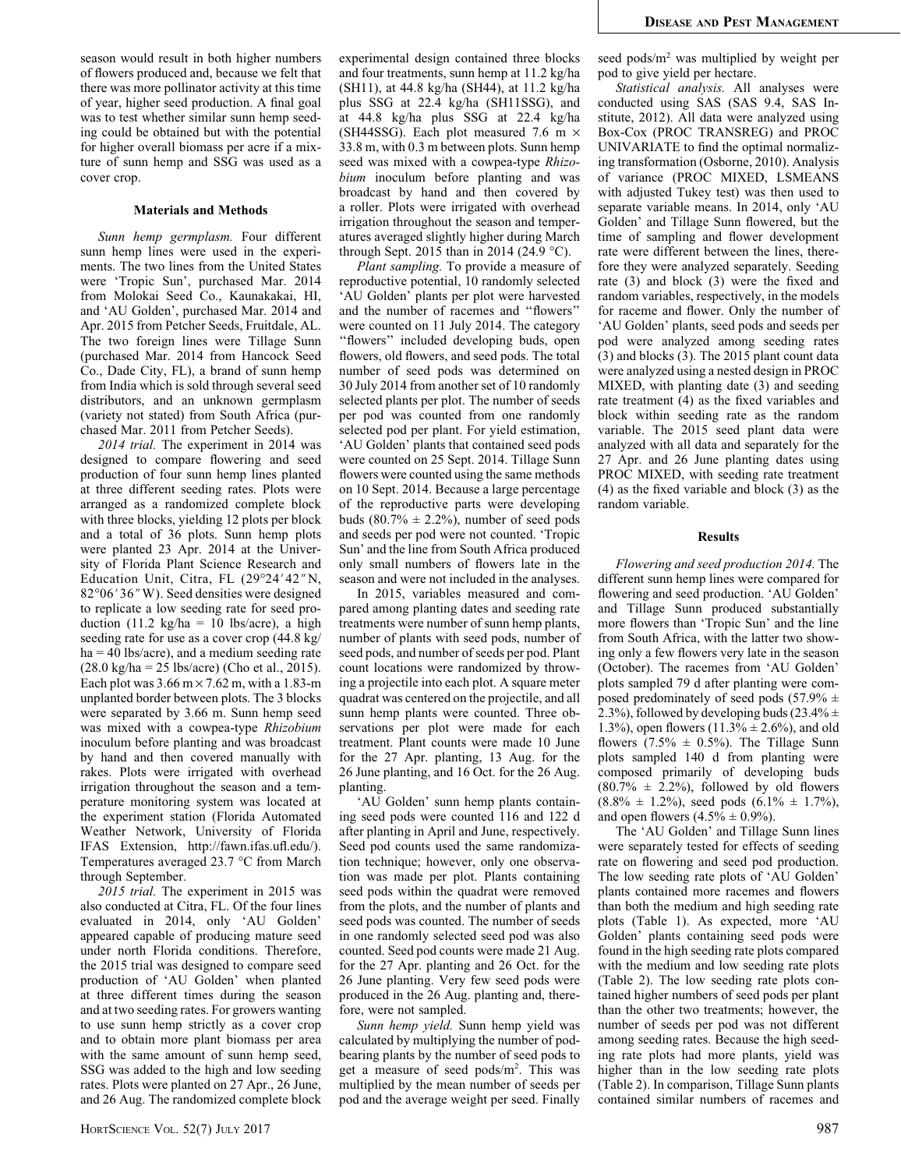season would result in both higher numbers of flowers produced and, because we felt that there was more pollinator activity at this time of year, higher seed production. A final goal was to test whether similar sunn hemp seeding could be obtained but with the potential for higher overall biomass per acre if a mixture of sunn hemp and SSG was used as a cover crop.

## Materials and Methods

Sunn hemp germplasm. Four different sunn hemp lines were used in the experiments. The two lines from the United States were 'Tropic Sun', purchased Mar. 2014 from Molokai Seed Co., Kaunakakai, HI, and 'AU Golden', purchased Mar. 2014 and Apr. 2015 from Petcher Seeds, Fruitdale, AL. The two foreign lines were Tillage Sunn (purchased Mar. 2014 from Hancock Seed Co., Dade City, FL), a brand of sunn hemp from India which is sold through several seed distributors, and an unknown germplasm (variety not stated) from South Africa (purchased Mar. 2011 from Petcher Seeds).

2014 trial. The experiment in 2014 was designed to compare flowering and seed production of four sunn hemp lines planted at three different seeding rates. Plots were arranged as a randomized complete block with three blocks, yielding 12 plots per block and a total of 36 plots. Sunn hemp plots were planted 23 Apr. 2014 at the University of Florida Plant Science Research and Education Unit, Citra, FL  $(29°24'42"N,$ 82°06' 36" W). Seed densities were designed to replicate a low seeding rate for seed production (11.2 kg/ha = 10 lbs/acre), a high seeding rate for use as a cover crop (44.8 kg/  $ha = 40$  lbs/acre), and a medium seeding rate (28.0 kg/ha = 25 lbs/acre) (Cho et al., 2015). Each plot was  $3.66 \text{ m} \times 7.62 \text{ m}$ , with a 1.83-m unplanted border between plots. The 3 blocks were separated by 3.66 m. Sunn hemp seed was mixed with a cowpea-type Rhizobium inoculum before planting and was broadcast by hand and then covered manually with rakes. Plots were irrigated with overhead irrigation throughout the season and a temperature monitoring system was located at the experiment station (Florida Automated Weather Network, University of Florida IFAS Extension, http://fawn.ifas.ufl.edu/). Temperatures averaged 23.7 °C from March through September.

2015 trial. The experiment in 2015 was also conducted at Citra, FL. Of the four lines evaluated in 2014, only 'AU Golden' appeared capable of producing mature seed under north Florida conditions. Therefore, the 2015 trial was designed to compare seed production of 'AU Golden' when planted at three different times during the season and at two seeding rates. For growers wanting to use sunn hemp strictly as a cover crop and to obtain more plant biomass per area with the same amount of sunn hemp seed, SSG was added to the high and low seeding rates. Plots were planted on 27 Apr., 26 June, and 26 Aug. The randomized complete block experimental design contained three blocks and four treatments, sunn hemp at 11.2 kg/ha (SH11), at 44.8 kg/ha (SH44), at 11.2 kg/ha plus SSG at 22.4 kg/ha (SH11SSG), and at 44.8 kg/ha plus SSG at 22.4 kg/ha (SH44SSG). Each plot measured 7.6 m  $\times$ 33.8 m, with 0.3 m between plots. Sunn hemp seed was mixed with a cowpea-type Rhizobium inoculum before planting and was broadcast by hand and then covered by a roller. Plots were irrigated with overhead irrigation throughout the season and temperatures averaged slightly higher during March through Sept. 2015 than in 2014 (24.9  $^{\circ}$ C).

Plant sampling. To provide a measure of reproductive potential, 10 randomly selected 'AU Golden' plants per plot were harvested and the number of racemes and ''flowers'' were counted on 11 July 2014. The category ''flowers'' included developing buds, open flowers, old flowers, and seed pods. The total number of seed pods was determined on 30 July 2014 from another set of 10 randomly selected plants per plot. The number of seeds per pod was counted from one randomly selected pod per plant. For yield estimation, 'AU Golden' plants that contained seed pods were counted on 25 Sept. 2014. Tillage Sunn flowers were counted using the same methods on 10 Sept. 2014. Because a large percentage of the reproductive parts were developing buds  $(80.7\% \pm 2.2\%)$ , number of seed pods and seeds per pod were not counted. 'Tropic Sun' and the line from South Africa produced only small numbers of flowers late in the season and were not included in the analyses.

In 2015, variables measured and compared among planting dates and seeding rate treatments were number of sunn hemp plants, number of plants with seed pods, number of seed pods, and number of seeds per pod. Plant count locations were randomized by throwing a projectile into each plot. A square meter quadrat was centered on the projectile, and all sunn hemp plants were counted. Three observations per plot were made for each treatment. Plant counts were made 10 June for the 27 Apr. planting, 13 Aug. for the 26 June planting, and 16 Oct. for the 26 Aug. planting.

'AU Golden' sunn hemp plants containing seed pods were counted 116 and 122 d after planting in April and June, respectively. Seed pod counts used the same randomization technique; however, only one observation was made per plot. Plants containing seed pods within the quadrat were removed from the plots, and the number of plants and seed pods was counted. The number of seeds in one randomly selected seed pod was also counted. Seed pod counts were made 21 Aug. for the 27 Apr. planting and 26 Oct. for the 26 June planting. Very few seed pods were produced in the 26 Aug. planting and, therefore, were not sampled.

Sunn hemp yield. Sunn hemp yield was calculated by multiplying the number of podbearing plants by the number of seed pods to get a measure of seed pods/m2 . This was multiplied by the mean number of seeds per pod and the average weight per seed. Finally seed pods/m2 was multiplied by weight per pod to give yield per hectare.

Statistical analysis. All analyses were conducted using SAS (SAS 9.4, SAS Institute, 2012). All data were analyzed using Box-Cox (PROC TRANSREG) and PROC UNIVARIATE to find the optimal normalizing transformation (Osborne, 2010). Analysis of variance (PROC MIXED, LSMEANS with adjusted Tukey test) was then used to separate variable means. In 2014, only 'AU Golden' and Tillage Sunn flowered, but the time of sampling and flower development rate were different between the lines, therefore they were analyzed separately. Seeding rate (3) and block (3) were the fixed and random variables, respectively, in the models for raceme and flower. Only the number of 'AU Golden' plants, seed pods and seeds per pod were analyzed among seeding rates (3) and blocks (3). The 2015 plant count data were analyzed using a nested design in PROC MIXED, with planting date (3) and seeding rate treatment (4) as the fixed variables and block within seeding rate as the random variable. The 2015 seed plant data were analyzed with all data and separately for the 27 Apr. and 26 June planting dates using PROC MIXED, with seeding rate treatment (4) as the fixed variable and block (3) as the random variable.

#### Results

Flowering and seed production 2014. The different sunn hemp lines were compared for flowering and seed production. 'AU Golden' and Tillage Sunn produced substantially more flowers than 'Tropic Sun' and the line from South Africa, with the latter two showing only a few flowers very late in the season (October). The racemes from 'AU Golden' plots sampled 79 d after planting were composed predominately of seed pods (57.9%  $\pm$ 2.3%), followed by developing buds (23.4%  $\pm$ 1.3%), open flowers  $(11.3% \pm 2.6%)$ , and old flowers  $(7.5\% \pm 0.5\%)$ . The Tillage Sunn plots sampled 140 d from planting were composed primarily of developing buds  $(80.7\% \pm 2.2\%)$ , followed by old flowers  $(8.8\% \pm 1.2\%)$ , seed pods  $(6.1\% \pm 1.7\%)$ , and open flowers  $(4.5% \pm 0.9%).$ 

The 'AU Golden' and Tillage Sunn lines were separately tested for effects of seeding rate on flowering and seed pod production. The low seeding rate plots of 'AU Golden' plants contained more racemes and flowers than both the medium and high seeding rate plots (Table 1). As expected, more 'AU Golden' plants containing seed pods were found in the high seeding rate plots compared with the medium and low seeding rate plots (Table 2). The low seeding rate plots contained higher numbers of seed pods per plant than the other two treatments; however, the number of seeds per pod was not different among seeding rates. Because the high seeding rate plots had more plants, yield was higher than in the low seeding rate plots (Table 2). In comparison, Tillage Sunn plants contained similar numbers of racemes and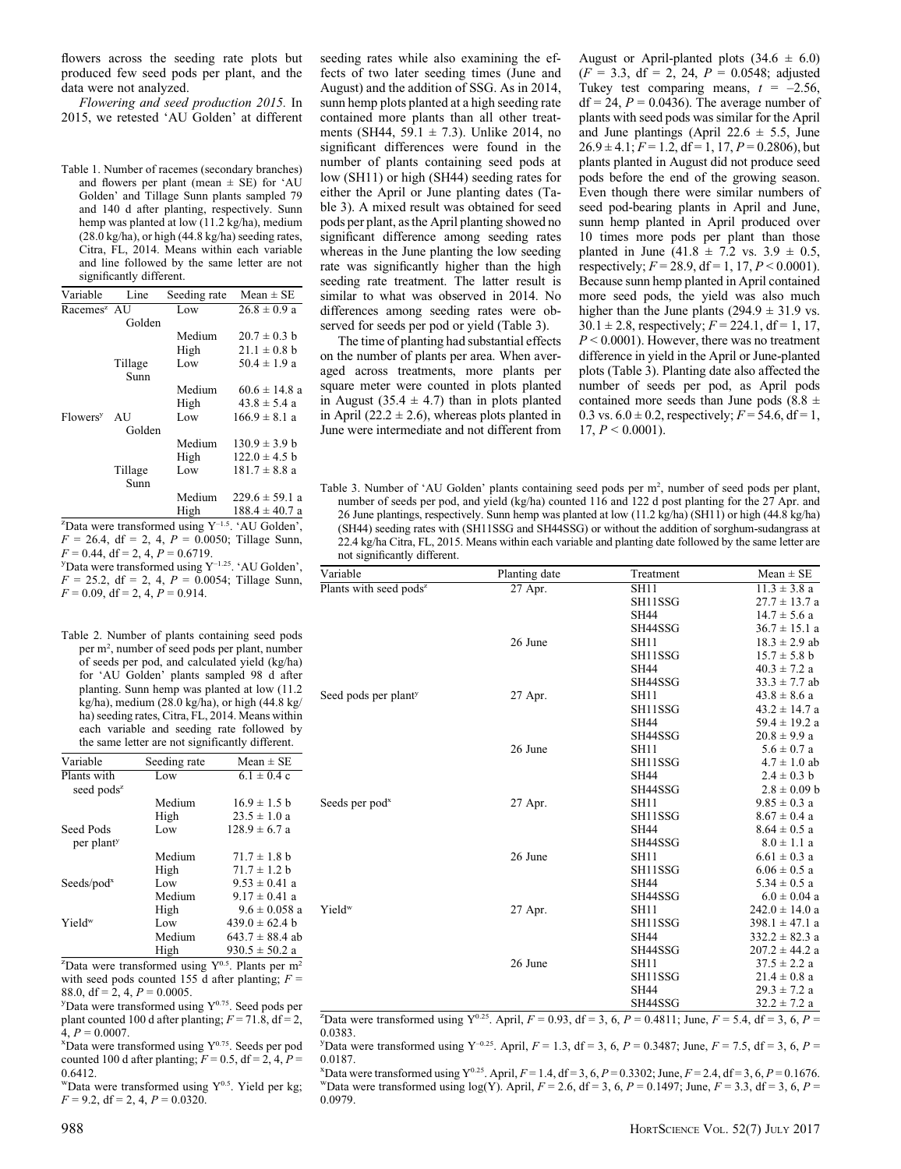flowers across the seeding rate plots but produced few seed pods per plant, and the data were not analyzed.

Flowering and seed production 2015. In 2015, we retested 'AU Golden' at different

Table 1. Number of racemes (secondary branches) and flowers per plant (mean  $\pm$  SE) for 'AU Golden' and Tillage Sunn plants sampled 79 and 140 d after planting, respectively. Sunn hemp was planted at low (11.2 kg/ha), medium  $(28.0 \text{ kg/ha})$ , or high  $(44.8 \text{ kg/ha})$  seeding rates, Citra, FL, 2014. Means within each variable and line followed by the same letter are not significantly different.

| Variable                                                           | Line    | Seeding rate | $Mean \pm SE$      |  |  |
|--------------------------------------------------------------------|---------|--------------|--------------------|--|--|
| Racemes <sup>z</sup> AU                                            |         | Low          | $26.8 \pm 0.9 a$   |  |  |
|                                                                    | Golden  |              |                    |  |  |
|                                                                    |         | Medium       | $20.7 \pm 0.3$ b   |  |  |
|                                                                    |         | High         | $21.1 \pm 0.8$ b   |  |  |
|                                                                    | Tillage | Low          | $50.4 \pm 1.9 a$   |  |  |
|                                                                    | Sunn    |              |                    |  |  |
|                                                                    |         | Medium       | $60.6 \pm 14.8$ a  |  |  |
|                                                                    |         | High         | $43.8 \pm 5.4$ a   |  |  |
| <b>Flowers</b> <sup>y</sup>                                        | AU      | Low          | $166.9 \pm 8.1 a$  |  |  |
|                                                                    | Golden  |              |                    |  |  |
|                                                                    |         | Medium       | $130.9 \pm 3.9 h$  |  |  |
|                                                                    |         | High         | $122.0 \pm 4.5$ b  |  |  |
|                                                                    | Tillage | Low          | $181.7 \pm 8.8$ a  |  |  |
|                                                                    | Sunn    |              |                    |  |  |
|                                                                    |         | Medium       | $229.6 \pm 59.1$ a |  |  |
|                                                                    |         | High         | $188.4 \pm 40.7$ a |  |  |
| <sup>z</sup> Data were transformed using $Y^{-1.5}$ . 'AU Golden', |         |              |                    |  |  |

 $F = 26.4$ , df = 2, 4,  $P = 0.0050$ ; Tillage Sunn,<br> $F = 0.44$ , df = 2, 4,  $P = 0.6719$ .  $F = 0.44$ , df = 2, 4,  $P = 0.6719$ .<br><sup>y</sup>Data were transformed using Y<sup>-1.25</sup>. 'AU Golden',  $F = 25.2$ , df = 2, 4,  $P = 0.0054$ ; Tillage Sunn,  $F = 0.09$ , df = 2, 4,  $P = 0.914$ .

Table 2. Number of plants containing seed pods per m2 , number of seed pods per plant, number of seeds per pod, and calculated yield (kg/ha) for 'AU Golden' plants sampled 98 d after planting. Sunn hemp was planted at low (11.2 kg/ha), medium (28.0 kg/ha), or high (44.8 kg/ ha) seeding rates, Citra, FL, 2014. Means within each variable and seeding rate followed by the same letter are not significantly different.

| Variable                        | Seeding rate | Mean $\pm$ SE       |  |
|---------------------------------|--------------|---------------------|--|
| Plants with                     | Low          | $6.1 \pm 0.4$ c     |  |
| seed pods <sup>z</sup>          |              |                     |  |
|                                 | Medium       | $16.9 \pm 1.5$ b    |  |
|                                 | High         | $23.5 \pm 1.0 a$    |  |
| Seed Pods                       | Low          | $128.9 \pm 6.7$ a   |  |
| per plant <sup>y</sup>          |              |                     |  |
|                                 | Medium       | $71.7 \pm 1.8$ b    |  |
|                                 | High         | $71.7 \pm 1.2$ b    |  |
| $S{\text{eeds}}/{\text{pod}^x}$ | Low          | $9.53 \pm 0.41$ a   |  |
|                                 | Medium       | $9.17 \pm 0.41$ a   |  |
|                                 | High         | $9.6 \pm 0.058$ a   |  |
| $Y$ ield <sup>w</sup>           | Low          | $439.0 \pm 62.4 h$  |  |
|                                 | Medium       | $643.7 \pm 88.4$ ab |  |
|                                 | High         | $930.5 \pm 50.2$ a  |  |

<sup>z</sup>Data were transformed using  $Y^{0.5}$ . Plants per m<sup>2</sup> with seed pods counted 155 d after planting;  $F =$ 88.0, df = 2, 4,  $P = 0.0005$ .

 $y$ Data were transformed using  $Y^{0.75}$ . Seed pods per plant counted 100 d after planting;  $F = 71.8$ , df = 2,  $\overline{4}$ ,  $P = 0.0007$ .

 $x$ Data were transformed using  $Y^{0.75}$ . Seeds per pod counted 100 d after planting;  $F = 0.5$ , df = 2, 4,  $P =$ 0.6412.

"Data were transformed using  $Y^{0.5}$ . Yield per kg;  $F = 9.2$ , df = 2, 4,  $P = 0.0320$ .

seeding rates while also examining the effects of two later seeding times (June and August) and the addition of SSG. As in 2014, sunn hemp plots planted at a high seeding rate contained more plants than all other treatments (SH44, 59.1  $\pm$  7.3). Unlike 2014, no significant differences were found in the number of plants containing seed pods at low (SH11) or high (SH44) seeding rates for either the April or June planting dates (Table 3). A mixed result was obtained for seed pods per plant, as the April planting showed no significant difference among seeding rates whereas in the June planting the low seeding rate was significantly higher than the high seeding rate treatment. The latter result is similar to what was observed in 2014. No differences among seeding rates were observed for seeds per pod or yield (Table 3).

The time of planting had substantial effects on the number of plants per area. When averaged across treatments, more plants per square meter were counted in plots planted in August (35.4  $\pm$  4.7) than in plots planted in April (22.2  $\pm$  2.6), whereas plots planted in June were intermediate and not different from August or April-planted plots  $(34.6 \pm 6.0)$  $(F = 3.3, df = 2, 24, P = 0.0548; adjusted$ Tukey test comparing means,  $t = -2.56$ ,  $df = 24$ ,  $P = 0.0436$ . The average number of plants with seed pods was similar for the April and June plantings (April 22.6  $\pm$  5.5, June  $26.9 \pm 4.1$ ;  $F = 1.2$ , df = 1, 17,  $P = 0.2806$ ), but plants planted in August did not produce seed pods before the end of the growing season. Even though there were similar numbers of seed pod-bearing plants in April and June, sunn hemp planted in April produced over 10 times more pods per plant than those planted in June  $(41.8 \pm 7.2 \text{ vs. } 3.9 \pm 0.5,$ respectively;  $F = 28.9$ , df = 1, 17,  $P \le 0.0001$ ). Because sunn hemp planted in April contained more seed pods, the yield was also much higher than the June plants ( $294.9 \pm 31.9$  vs.  $30.1 \pm 2.8$ , respectively;  $F = 224.1$ , df = 1, 17,  $P \leq 0.0001$ ). However, there was no treatment difference in yield in the April or June-planted plots (Table 3). Planting date also affected the number of seeds per pod, as April pods contained more seeds than June pods  $(8.8 \pm$ 0.3 vs.  $6.0 \pm 0.2$ , respectively;  $F = 54.6$ , df = 1, 17,  $P < 0.0001$ ).

Table 3. Number of 'AU Golden' plants containing seed pods per m2 , number of seed pods per plant, number of seeds per pod, and yield (kg/ha) counted 116 and 122 d post planting for the 27 Apr. and 26 June plantings, respectively. Sunn hemp was planted at low (11.2 kg/ha) (SH11) or high (44.8 kg/ha) (SH44) seeding rates with (SH11SSG and SH44SSG) or without the addition of sorghum-sudangrass at 22.4 kg/ha Citra, FL, 2015. Means within each variable and planting date followed by the same letter are not significantly different.

| Variable                           | Planting date | Treatment   | $Mean \pm SE$      |
|------------------------------------|---------------|-------------|--------------------|
| Plants with seed pods <sup>z</sup> | 27 Apr.       | SH11        | $11.3 \pm 3.8 a$   |
|                                    |               | SH11SSG     | $27.7 \pm 13.7$ a  |
|                                    |               | <b>SH44</b> | $14.7 \pm 5.6$ a   |
|                                    |               | SH44SSG     | $36.7 \pm 15.1$ a  |
|                                    | 26 June       | <b>SH11</b> | $18.3 \pm 2.9$ ab  |
|                                    |               | SH11SSG     | $15.7 \pm 5.8$ b   |
|                                    |               | SH44        | $40.3 \pm 7.2$ a   |
|                                    |               | SH44SSG     | $33.3 \pm 7.7$ ab  |
| Seed pods per plant <sup>y</sup>   | 27 Apr.       | <b>SH11</b> | $43.8 \pm 8.6$ a   |
|                                    |               | SH11SSG     | $43.2 \pm 14.7$ a  |
|                                    |               | SH44        | $59.4 \pm 19.2$ a  |
|                                    |               | SH44SSG     | $20.8 \pm 9.9 a$   |
|                                    | 26 June       | <b>SH11</b> | $5.6 \pm 0.7$ a    |
|                                    |               | SH11SSG     | $4.7 \pm 1.0$ ab   |
|                                    |               | <b>SH44</b> | $2.4 \pm 0.3$ b    |
|                                    |               | SH44SSG     | $2.8 \pm 0.09$ b   |
| Seeds per pod <sup>x</sup>         | 27 Apr.       | <b>SH11</b> | $9.85 \pm 0.3$ a   |
|                                    |               | SH11SSG     | $8.67 \pm 0.4$ a   |
|                                    |               | SH44        | $8.64 \pm 0.5$ a   |
|                                    |               | SH44SSG     | $8.0 \pm 1.1$ a    |
|                                    | 26 June       | <b>SH11</b> | $6.61 \pm 0.3$ a   |
|                                    |               | SH11SSG     | $6.06 \pm 0.5$ a   |
|                                    |               | SH44        | $5.34 \pm 0.5$ a   |
|                                    |               | SH44SSG     | $6.0 \pm 0.04$ a   |
| Yield <sup>w</sup>                 | 27 Apr.       | <b>SH11</b> | $242.0 \pm 14.0$ a |
|                                    |               | SH11SSG     | $398.1 \pm 47.1$ a |
|                                    |               | SH44        | $332.2 \pm 82.3$ a |
|                                    |               | SH44SSG     | $207.2 \pm 44.2$ a |
|                                    | 26 June       | <b>SH11</b> | $37.5 \pm 2.2 a$   |
|                                    |               | SH11SSG     | $21.4 \pm 0.8$ a   |
|                                    |               | SH44        | $29.3 \pm 7.2$ a   |
|                                    |               | SH44SSG     | $32.2 \pm 7.2$ a   |

<sup>2</sup>Data were transformed using Y<sup>0.25</sup>. April,  $F = 0.93$ , df = 3, 6, P = 0.4811; June, F = 5.4, df = 3, 6, P = 0.0383.

PData were transformed using  $Y^{-0.25}$ . April,  $F = 1.3$ ,  $df = 3$ , 6,  $P = 0.3487$ ; June,  $F = 7.5$ ,  $df = 3$ , 6,  $P = 1.3$ 0.0187.

 ${}^{\text{X}}$ Data were transformed using Y<sup>0.25</sup>. April,  $F = 1.4$ , df = 3, 6, P = 0.3302; June,  $F = 2.4$ , df = 3, 6, P = 0.1676.<br>WData were transformed using log(Y). April,  $F = 2.6$ , df = 3, 6, P = 0.1497; June,  $F = 3.3$ , df 0.0979.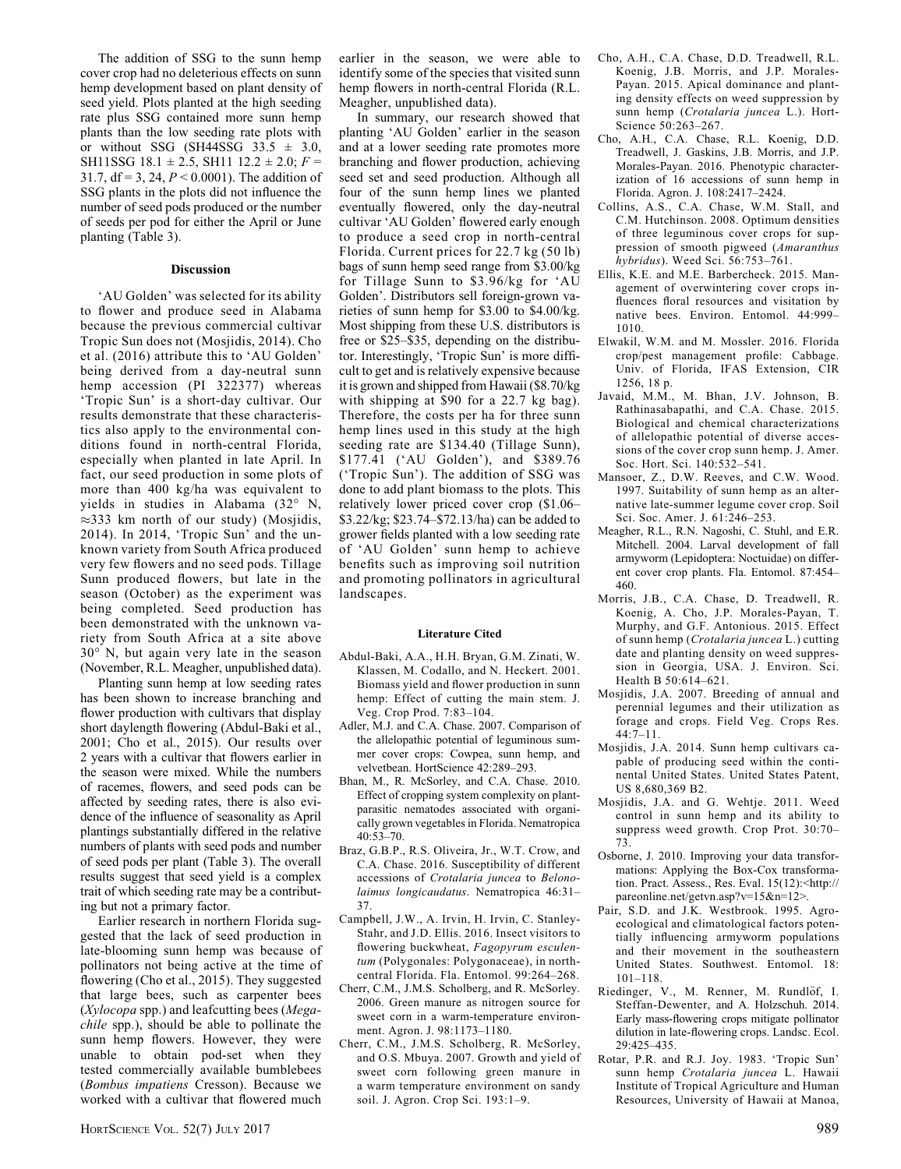The addition of SSG to the sunn hemp cover crop had no deleterious effects on sunn hemp development based on plant density of seed yield. Plots planted at the high seeding rate plus SSG contained more sunn hemp plants than the low seeding rate plots with or without SSG (SH44SSG  $33.5 \pm 3.0$ , SH11SSG 18.1  $\pm$  2.5, SH11 12.2  $\pm$  2.0; F = 31.7, df = 3, 24,  $P < 0.0001$ ). The addition of SSG plants in the plots did not influence the number of seed pods produced or the number of seeds per pod for either the April or June planting (Table 3).

## Discussion

'AU Golden' was selected for its ability to flower and produce seed in Alabama because the previous commercial cultivar Tropic Sun does not (Mosjidis, 2014). Cho et al. (2016) attribute this to 'AU Golden' being derived from a day-neutral sunn hemp accession (PI 322377) whereas 'Tropic Sun' is a short-day cultivar. Our results demonstrate that these characteristics also apply to the environmental conditions found in north-central Florida, especially when planted in late April. In fact, our seed production in some plots of more than 400 kg/ha was equivalent to yields in studies in Alabama (32° N,  $\approx$ 333 km north of our study) (Mosjidis, 2014). In 2014, 'Tropic Sun' and the unknown variety from South Africa produced very few flowers and no seed pods. Tillage Sunn produced flowers, but late in the season (October) as the experiment was being completed. Seed production has been demonstrated with the unknown variety from South Africa at a site above  $30^\circ$  N, but again very late in the season (November, R.L. Meagher, unpublished data).

Planting sunn hemp at low seeding rates has been shown to increase branching and flower production with cultivars that display short daylength flowering (Abdul-Baki et al., 2001; Cho et al., 2015). Our results over 2 years with a cultivar that flowers earlier in the season were mixed. While the numbers of racemes, flowers, and seed pods can be affected by seeding rates, there is also evidence of the influence of seasonality as April plantings substantially differed in the relative numbers of plants with seed pods and number of seed pods per plant (Table 3). The overall results suggest that seed yield is a complex trait of which seeding rate may be a contributing but not a primary factor.

Earlier research in northern Florida suggested that the lack of seed production in late-blooming sunn hemp was because of pollinators not being active at the time of flowering (Cho et al., 2015). They suggested that large bees, such as carpenter bees (Xylocopa spp.) and leafcutting bees (Megachile spp.), should be able to pollinate the sunn hemp flowers. However, they were unable to obtain pod-set when they tested commercially available bumblebees (Bombus impatiens Cresson). Because we worked with a cultivar that flowered much earlier in the season, we were able to identify some of the species that visited sunn hemp flowers in north-central Florida (R.L. Meagher, unpublished data).

In summary, our research showed that planting 'AU Golden' earlier in the season and at a lower seeding rate promotes more branching and flower production, achieving seed set and seed production. Although all four of the sunn hemp lines we planted eventually flowered, only the day-neutral cultivar 'AU Golden' flowered early enough to produce a seed crop in north-central Florida. Current prices for 22.7 kg (50 lb) bags of sunn hemp seed range from \$3.00/kg for Tillage Sunn to \$3.96/kg for 'AU Golden'. Distributors sell foreign-grown varieties of sunn hemp for \$3.00 to \$4.00/kg. Most shipping from these U.S. distributors is free or \$25–\$35, depending on the distributor. Interestingly, 'Tropic Sun' is more difficult to get and is relatively expensive because it is grown and shipped from Hawaii (\$8.70/kg with shipping at \$90 for a 22.7 kg bag). Therefore, the costs per ha for three sunn hemp lines used in this study at the high seeding rate are \$134.40 (Tillage Sunn), \$177.41 ('AU Golden'), and \$389.76 ('Tropic Sun'). The addition of SSG was done to add plant biomass to the plots. This relatively lower priced cover crop (\$1.06– \$3.22/kg; \$23.74–\$72.13/ha) can be added to grower fields planted with a low seeding rate of 'AU Golden' sunn hemp to achieve benefits such as improving soil nutrition and promoting pollinators in agricultural landscapes.

#### Literature Cited

- Abdul-Baki, A.A., H.H. Bryan, G.M. Zinati, W. Klassen, M. Codallo, and N. Heckert. 2001. Biomass yield and flower production in sunn hemp: Effect of cutting the main stem. J. Veg. Crop Prod. 7:83–104.
- Adler, M.J. and C.A. Chase. 2007. Comparison of the allelopathic potential of leguminous summer cover crops: Cowpea, sunn hemp, and velvetbean. HortScience 42:289–293.
- Bhan, M., R. McSorley, and C.A. Chase. 2010. Effect of cropping system complexity on plantparasitic nematodes associated with organically grown vegetables in Florida. Nematropica 40:53–70.
- Braz, G.B.P., R.S. Oliveira, Jr., W.T. Crow, and C.A. Chase. 2016. Susceptibility of different accessions of Crotalaria juncea to Belonolaimus longicaudatus. Nematropica 46:31– 37.
- Campbell, J.W., A. Irvin, H. Irvin, C. Stanley-Stahr, and J.D. Ellis. 2016. Insect visitors to flowering buckwheat, Fagopyrum esculentum (Polygonales: Polygonaceae), in northcentral Florida. Fla. Entomol. 99:264–268.
- Cherr, C.M., J.M.S. Scholberg, and R. McSorley. 2006. Green manure as nitrogen source for sweet corn in a warm-temperature environment. Agron. J. 98:1173–1180.
- Cherr, C.M., J.M.S. Scholberg, R. McSorley, and O.S. Mbuya. 2007. Growth and yield of sweet corn following green manure in a warm temperature environment on sandy soil. J. Agron. Crop Sci. 193:1–9.
- Cho, A.H., C.A. Chase, D.D. Treadwell, R.L. Koenig, J.B. Morris, and J.P. Morales-Payan. 2015. Apical dominance and planting density effects on weed suppression by sunn hemp (Crotalaria juncea L.). Hort-Science 50:263–267.
- Cho, A.H., C.A. Chase, R.L. Koenig, D.D. Treadwell, J. Gaskins, J.B. Morris, and J.P. Morales-Payan. 2016. Phenotypic characterization of 16 accessions of sunn hemp in Florida. Agron. J. 108:2417–2424.
- Collins, A.S., C.A. Chase, W.M. Stall, and C.M. Hutchinson. 2008. Optimum densities of three leguminous cover crops for suppression of smooth pigweed (Amaranthus hybridus). Weed Sci. 56:753–761.
- Ellis, K.E. and M.E. Barbercheck. 2015. Management of overwintering cover crops influences floral resources and visitation by native bees. Environ. Entomol. 44:999– 1010.
- Elwakil, W.M. and M. Mossler. 2016. Florida crop/pest management profile: Cabbage. Univ. of Florida, IFAS Extension, CIR 1256, 18 p.
- Javaid, M.M., M. Bhan, J.V. Johnson, B. Rathinasabapathi, and C.A. Chase. 2015. Biological and chemical characterizations of allelopathic potential of diverse accessions of the cover crop sunn hemp. J. Amer. Soc. Hort. Sci. 140:532–541.
- Mansoer, Z., D.W. Reeves, and C.W. Wood. 1997. Suitability of sunn hemp as an alternative late-summer legume cover crop. Soil Sci. Soc. Amer. J. 61:246–253.
- Meagher, R.L., R.N. Nagoshi, C. Stuhl, and E.R. Mitchell. 2004. Larval development of fall armyworm (Lepidoptera: Noctuidae) on different cover crop plants. Fla. Entomol. 87:454– 460.
- Morris, J.B., C.A. Chase, D. Treadwell, R. Koenig, A. Cho, J.P. Morales-Payan, T. Murphy, and G.F. Antonious. 2015. Effect of sunn hemp (Crotalaria juncea L.) cutting date and planting density on weed suppression in Georgia, USA. J. Environ. Sci. Health B 50:614–621.
- Mosjidis, J.A. 2007. Breeding of annual and perennial legumes and their utilization as forage and crops. Field Veg. Crops Res. 44:7–11.
- Mosjidis, J.A. 2014. Sunn hemp cultivars capable of producing seed within the continental United States. United States Patent, US 8,680,369 B2.
- Mosjidis, J.A. and G. Wehtje. 2011. Weed control in sunn hemp and its ability to suppress weed growth. Crop Prot. 30:70– 73.
- Osborne, J. 2010. Improving your data transformations: Applying the Box-Cox transformation. Pract. Assess., Res. Eval. 15(12):<http:// pareonline.net/getvn.asp?v=15&n=12>.
- Pair, S.D. and J.K. Westbrook. 1995. Agroecological and climatological factors potentially influencing armyworm populations and their movement in the southeastern United States. Southwest. Entomol. 18: 101–118.
- Riedinger, V., M. Renner, M. Rundlöf, I. Steffan-Dewenter, and A. Holzschuh. 2014. Early mass-flowering crops mitigate pollinator dilution in late-flowering crops. Landsc. Ecol. 29:425–435.
- Rotar, P.R. and R.J. Joy. 1983. 'Tropic Sun' sunn hemp Crotalaria juncea L. Hawaii Institute of Tropical Agriculture and Human Resources, University of Hawaii at Manoa,